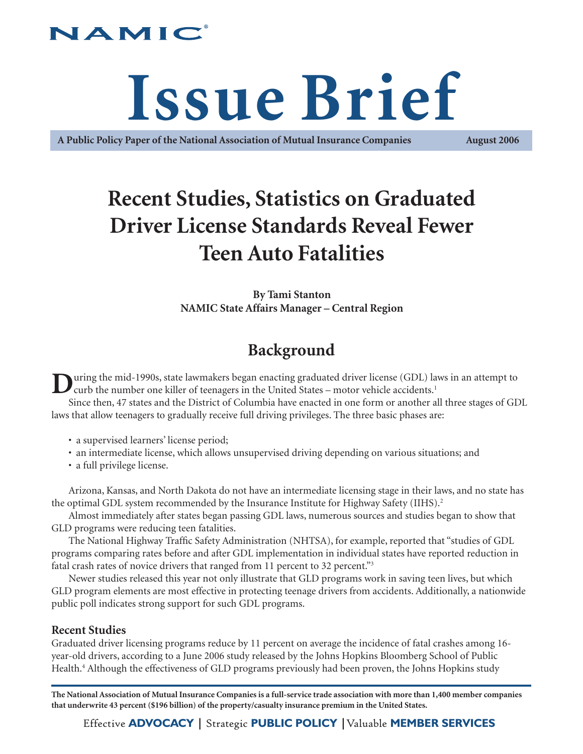## JAMIC

# **Issue Brief**

**A Public Policy Paper of the National Association of Mutual Insurance Companies August 2006**

# **Recent Studies, Statistics on Graduated Driver License Standards Reveal Fewer Teen Auto Fatalities**

**By Tami Stanton NAMIC State Affairs Manager – Central Region**

## **Background**

**During the mid-1990s, state lawmakers began enacting graduated driver license (GDL) laws in an attempt to** curb the number one killer of teenagers in the United States – motor vehicle accidents.<sup>1</sup>

Since then, 47 states and the District of Columbia have enacted in one form or another all three stages of GDL laws that allow teenagers to gradually receive full driving privileges. The three basic phases are:

- a supervised learners' license period;
- an intermediate license, which allows unsupervised driving depending on various situations; and
- a full privilege license.

Arizona, Kansas, and North Dakota do not have an intermediate licensing stage in their laws, and no state has the optimal GDL system recommended by the Insurance Institute for Highway Safety (IIHS).<sup>2</sup>

Almost immediately after states began passing GDL laws, numerous sources and studies began to show that GLD programs were reducing teen fatalities.

The National Highway Traffic Safety Administration (NHTSA), for example, reported that "studies of GDL programs comparing rates before and after GDL implementation in individual states have reported reduction in fatal crash rates of novice drivers that ranged from 11 percent to 32 percent."<sup>3</sup>

Newer studies released this year not only illustrate that GLD programs work in saving teen lives, but which GLD program elements are most effective in protecting teenage drivers from accidents. Additionally, a nationwide public poll indicates strong support for such GDL programs.

## **Recent Studies**

Graduated driver licensing programs reduce by 11 percent on average the incidence of fatal crashes among 16 year-old drivers, according to a June 2006 study released by the Johns Hopkins Bloomberg School of Public Health.<sup>4</sup> Although the effectiveness of GLD programs previously had been proven, the Johns Hopkins study

**The National Association of Mutual Insurance Companies is a full-service trade association with more than 1,400 member companies that underwrite 43 percent (\$196 billion) of the property/casualty insurance premium in the United States.**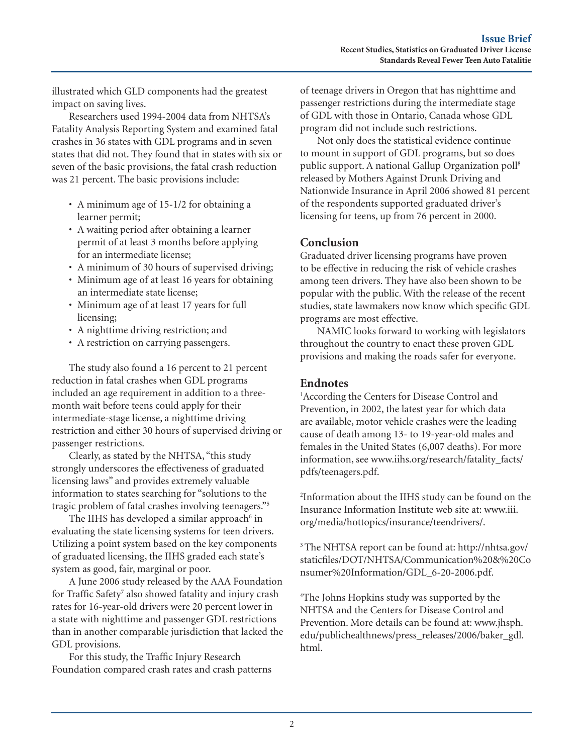illustrated which GLD components had the greatest impact on saving lives.

Researchers used 1994-2004 data from NHTSA's Fatality Analysis Reporting System and examined fatal crashes in 36 states with GDL programs and in seven states that did not. They found that in states with six or seven of the basic provisions, the fatal crash reduction was 21 percent. The basic provisions include:

- A minimum age of 15-1/2 for obtaining a learner permit;
- A waiting period after obtaining a learner permit of at least 3 months before applying for an intermediate license;
- A minimum of 30 hours of supervised driving;
- Minimum age of at least 16 years for obtaining an intermediate state license;
- Minimum age of at least 17 years for full licensing;
- A nighttime driving restriction; and
- A restriction on carrying passengers.

The study also found a 16 percent to 21 percent reduction in fatal crashes when GDL programs included an age requirement in addition to a threemonth wait before teens could apply for their intermediate-stage license, a nighttime driving restriction and either 30 hours of supervised driving or passenger restrictions.

Clearly, as stated by the NHTSA, "this study strongly underscores the effectiveness of graduated licensing laws" and provides extremely valuable information to states searching for "solutions to the tragic problem of fatal crashes involving teenagers."5

The IIHS has developed a similar approach<sup>6</sup> in evaluating the state licensing systems for teen drivers. Utilizing a point system based on the key components of graduated licensing, the IIHS graded each state's system as good, fair, marginal or poor.

A June 2006 study released by the AAA Foundation for Traffic Safety<sup>7</sup> also showed fatality and injury crash rates for 16-year-old drivers were 20 percent lower in a state with nighttime and passenger GDL restrictions than in another comparable jurisdiction that lacked the GDL provisions.

For this study, the Traffic Injury Research Foundation compared crash rates and crash patterns

of teenage drivers in Oregon that has nighttime and passenger restrictions during the intermediate stage of GDL with those in Ontario, Canada whose GDL program did not include such restrictions.

Not only does the statistical evidence continue to mount in support of GDL programs, but so does public support. A national Gallup Organization poll8 released by Mothers Against Drunk Driving and Nationwide Insurance in April 2006 showed 81 percent of the respondents supported graduated driver's licensing for teens, up from 76 percent in 2000.

## **Conclusion**

Graduated driver licensing programs have proven to be effective in reducing the risk of vehicle crashes among teen drivers. They have also been shown to be popular with the public. With the release of the recent studies, state lawmakers now know which specific GDL programs are most effective.

NAMIC looks forward to working with legislators throughout the country to enact these proven GDL provisions and making the roads safer for everyone.

## **Endnotes**

<sup>1</sup> According the Centers for Disease Control and Prevention, in 2002, the latest year for which data are available, motor vehicle crashes were the leading cause of death among 13- to 19-year-old males and females in the United States (6,007 deaths). For more information, see www.iihs.org/research/fatality\_facts/ pdfs/teenagers.pdf.

2 Information about the IIHS study can be found on the Insurance Information Institute web site at: www.iii. org/media/hottopics/insurance/teendrivers/.

3 The NHTSA report can be found at: http://nhtsa.gov/ staticfiles/DOT/NHTSA/Communication%20&%20Co nsumer%20Information/GDL\_6-20-2006.pdf.

4 The Johns Hopkins study was supported by the NHTSA and the Centers for Disease Control and Prevention. More details can be found at: www.jhsph. edu/publichealthnews/press\_releases/2006/baker\_gdl. html.